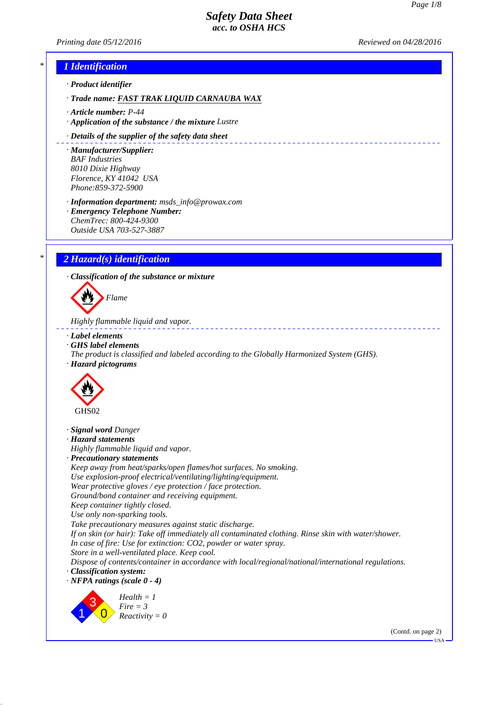\_\_\_\_\_\_\_\_\_\_\_\_\_\_\_\_\_\_\_\_\_\_\_\_\_\_\_\_\_

*Printing date 05/12/2016 Reviewed on 04/28/2016*

# *\* 1 Identification*

- *· Product identifier*
- *· Trade name: FAST TRAK LIQUID CARNAUBA WAX*
- *· Article number: P-44*
- *· Application of the substance / the mixture Lustre*
- *· Details of the supplier of the safety data sheet*
- *· Manufacturer/Supplier: BAF Industries 8010 Dixie Highway Florence, KY 41042 USA Phone:859-372-5900*
- *· Information department: msds\_info@prowax.com · Emergency Telephone Number:*
- *ChemTrec: 800-424-9300 Outside USA 703-527-3887*

# *\* 2 Hazard(s) identification*

*· Classification of the substance or mixture*

*Flame*

*Highly flammable liquid and vapor.* 

- *· Label elements*
- *· GHS label elements*
- *The product is classified and labeled according to the Globally Harmonized System (GHS). · Hazard pictograms*



- *· Signal word Danger*
- *· Hazard statements*
- *Highly flammable liquid and vapor.*
- *· Precautionary statements*
- *Keep away from heat/sparks/open flames/hot surfaces. No smoking.*
- *Use explosion-proof electrical/ventilating/lighting/equipment.*
- *Wear protective gloves / eye protection / face protection.*
- *Ground/bond container and receiving equipment.*
- *Keep container tightly closed.*
- *Use only non-sparking tools.*
- *Take precautionary measures against static discharge.*
- *If on skin (or hair): Take off immediately all contaminated clothing. Rinse skin with water/shower. In case of fire: Use for extinction: CO2, powder or water spray.*
- *Store in a well-ventilated place. Keep cool.*
- *Dispose of contents/container in accordance with local/regional/national/international regulations. · Classification system:*
- *· NFPA ratings (scale 0 4)*



*Health = 1 Fire = 3 Reactivity = 0*

> (Contd. on page 2) USA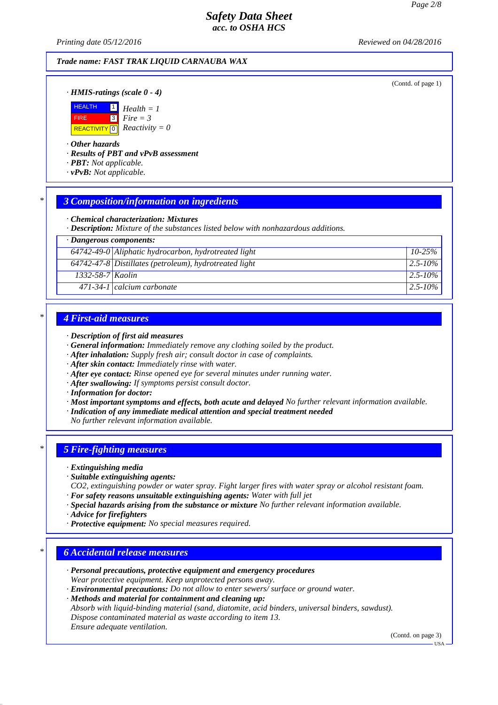*Printing date 05/12/2016 Reviewed on 04/28/2016*

### *Trade name: FAST TRAK LIQUID CARNAUBA WAX*

(Contd. of page 1)

### *· HMIS-ratings (scale 0 - 4)*



### *· Other hazards*

*· Results of PBT and vPvB assessment*

*· PBT: Not applicable.*

*· vPvB: Not applicable.*

## *\* 3 Composition/information on ingredients*

#### *· Chemical characterization: Mixtures*

*· Description: Mixture of the substances listed below with nonhazardous additions.*

|  | · Dangerous components: |
|--|-------------------------|
|--|-------------------------|

|                        | $64742-49-0$ Aliphatic hydrocarbon, hydrotreated light   | $10-25\%$     |
|------------------------|----------------------------------------------------------|---------------|
|                        | $64742-47-8$ Distillates (petroleum), hydrotreated light | $2.5 - 10\%$  |
| $1332 - 58 - 7$ Kaolin |                                                          | $2.5 - 10\%$  |
|                        | $471-34-1$ calcium carbonate                             | $12.5 - 10\%$ |

## *\* 4 First-aid measures*

- *· Description of first aid measures*
- *· General information: Immediately remove any clothing soiled by the product.*
- *· After inhalation: Supply fresh air; consult doctor in case of complaints.*
- *· After skin contact: Immediately rinse with water.*
- *· After eye contact: Rinse opened eye for several minutes under running water.*
- *· After swallowing: If symptoms persist consult doctor.*
- *· Information for doctor:*
- *· Most important symptoms and effects, both acute and delayed No further relevant information available.*
- *· Indication of any immediate medical attention and special treatment needed*
- *No further relevant information available.*

# *\* 5 Fire-fighting measures*

- *· Extinguishing media*
- *· Suitable extinguishing agents:*
- *CO2, extinguishing powder or water spray. Fight larger fires with water spray or alcohol resistant foam. · For safety reasons unsuitable extinguishing agents: Water with full jet*
- *· Special hazards arising from the substance or mixture No further relevant information available.*
- *· Advice for firefighters*
- *· Protective equipment: No special measures required.*

## *\* 6 Accidental release measures*

- *· Personal precautions, protective equipment and emergency procedures Wear protective equipment. Keep unprotected persons away.*
- *· Environmental precautions: Do not allow to enter sewers/ surface or ground water.*

*· Methods and material for containment and cleaning up:*

*Absorb with liquid-binding material (sand, diatomite, acid binders, universal binders, sawdust). Dispose contaminated material as waste according to item 13. Ensure adequate ventilation.*

(Contd. on page 3)

USA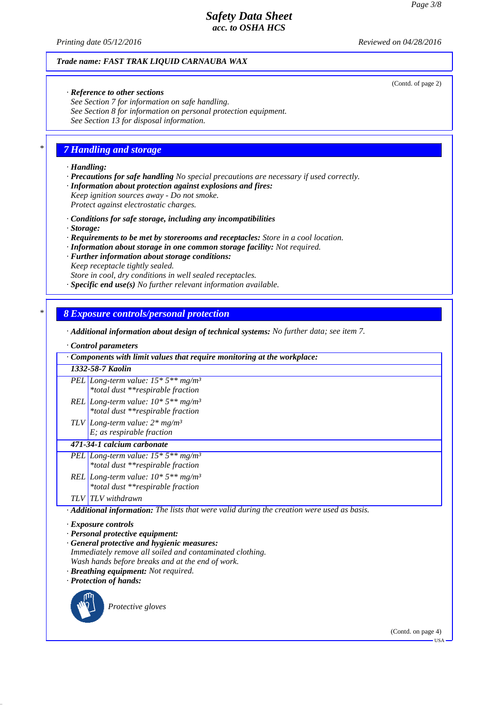*Printing date 05/12/2016 Reviewed on 04/28/2016*

(Contd. of page 2)

### *Trade name: FAST TRAK LIQUID CARNAUBA WAX*

#### *· Reference to other sections*

*See Section 7 for information on safe handling. See Section 8 for information on personal protection equipment. See Section 13 for disposal information.*

## *\* 7 Handling and storage*

#### *· Handling:*

*· Precautions for safe handling No special precautions are necessary if used correctly.*

*· Information about protection against explosions and fires:*

*Keep ignition sources away - Do not smoke. Protect against electrostatic charges.*

*· Conditions for safe storage, including any incompatibilities*

*· Storage:*

- *· Requirements to be met by storerooms and receptacles: Store in a cool location.*
- *· Information about storage in one common storage facility: Not required.*
- *· Further information about storage conditions:*
- *Keep receptacle tightly sealed.*
- *Store in cool, dry conditions in well sealed receptacles.*
- *· Specific end use(s) No further relevant information available.*

#### *\* 8 Exposure controls/personal protection*

- *· Additional information about design of technical systems: No further data; see item 7.*
- *· Control parameters*

| Components with limit values that require monitoring at the workplace:                                   |  |
|----------------------------------------------------------------------------------------------------------|--|
| 1332-58-7 Kaolin                                                                                         |  |
| PEL Long-term value: $15 * 5** mg/m^3$<br>*total dust **respirable fraction                              |  |
| REL Long-term value: $10*5**mg/m^3$<br>*total dust **respirable fraction                                 |  |
| TLV Long-term value: $2 * mg/m^3$<br>$E$ ; as respirable fraction                                        |  |
| 471-34-1 calcium carbonate                                                                               |  |
| PEL Long-term value: $15 * 5** mg/m^3$<br>*total dust **respirable fraction                              |  |
| REL   Long-term value: $10*5**mg/m^3$<br>*total dust **respirable fraction                               |  |
| <b>TLV</b> TLV withdrawn                                                                                 |  |
| $\cdot$ <b>Additional information:</b> The lists that were valid during the creation were used as basis. |  |
| · <i>Exposure controls</i>                                                                               |  |

- *· Exposure controls*
- *· Personal protective equipment:*
- *· General protective and hygienic measures:*

*Immediately remove all soiled and contaminated clothing. Wash hands before breaks and at the end of work.*

*· Breathing equipment: Not required.*

*· Protection of hands:*



*Protective gloves*

(Contd. on page 4) USA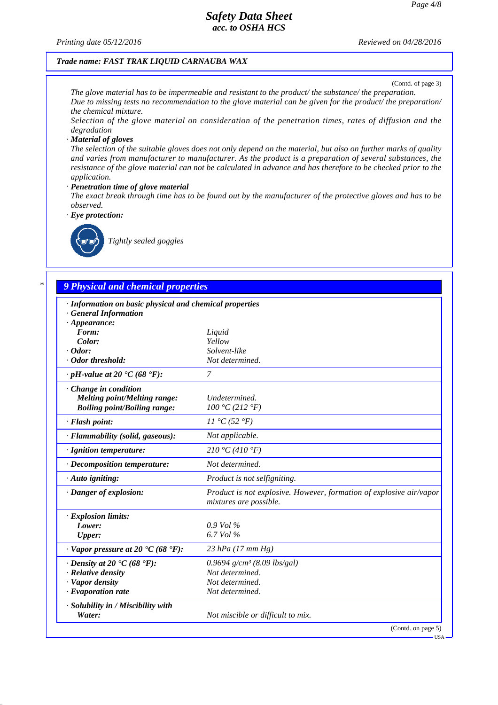*Printing date 05/12/2016 Reviewed on 04/28/2016*

### *Trade name: FAST TRAK LIQUID CARNAUBA WAX*

(Contd. of page 3)

*The glove material has to be impermeable and resistant to the product/ the substance/ the preparation. Due to missing tests no recommendation to the glove material can be given for the product/ the preparation/ the chemical mixture.*

*Selection of the glove material on consideration of the penetration times, rates of diffusion and the degradation*

#### *· Material of gloves*

*The selection of the suitable gloves does not only depend on the material, but also on further marks of quality and varies from manufacturer to manufacturer. As the product is a preparation of several substances, the resistance of the glove material can not be calculated in advance and has therefore to be checked prior to the application.*

#### *· Penetration time of glove material*

*The exact break through time has to be found out by the manufacturer of the protective gloves and has to be observed.*

*· Eye protection:*



*Tightly sealed goggles*

### *\* 9 Physical and chemical properties*

| · Information on basic physical and chemical properties<br><b>General Information</b> |                                                                                               |
|---------------------------------------------------------------------------------------|-----------------------------------------------------------------------------------------------|
| $\cdot$ Appearance:                                                                   |                                                                                               |
| Form:                                                                                 | Liquid                                                                                        |
| Color:                                                                                | Yellow                                                                                        |
| $\cdot$ Odor:                                                                         | Solvent-like                                                                                  |
| · Odor threshold:                                                                     | Not determined.                                                                               |
| $\cdot$ pH-value at 20 $\textdegree$ C (68 $\textdegree$ F):                          | 7                                                                                             |
| $\cdot$ Change in condition                                                           |                                                                                               |
| <b>Melting point/Melting range:</b>                                                   | Undetermined.                                                                                 |
| <b>Boiling point/Boiling range:</b>                                                   | 100 °C (212 °F)                                                                               |
| · Flash point:                                                                        | $11 \text{ }^{\circ}C(52 \text{ }^{\circ}F)$                                                  |
| · Flammability (solid, gaseous):                                                      | Not applicable.                                                                               |
| · Ignition temperature:                                                               | 210 °C (410 °F)                                                                               |
| $\cdot$ Decomposition temperature:                                                    | Not determined.                                                                               |
| · Auto igniting:                                                                      | Product is not selfigniting.                                                                  |
| · Danger of explosion:                                                                | Product is not explosive. However, formation of explosive air/vapor<br>mixtures are possible. |
| · Explosion limits:                                                                   |                                                                                               |
| Lower:                                                                                | $0.9$ Vol $\%$                                                                                |
| <b>Upper:</b>                                                                         | 6.7 Vol %                                                                                     |
| $\cdot$ Vapor pressure at 20 $\textdegree$ C (68 $\textdegree$ F):                    | $23$ hPa (17 mm Hg)                                                                           |
| $\cdot$ Density at 20 $\cdot$ C (68 $\cdot$ F):                                       | 0.9694 $g/cm^3$ (8.09 lbs/gal)                                                                |
| $\cdot$ Relative density                                                              | Not determined.                                                                               |
| · Vapor density                                                                       | Not determined.                                                                               |
| $\cdot$ Evaporation rate                                                              | Not determined.                                                                               |
| · Solubility in / Miscibility with<br>Water:                                          | Not miscible or difficult to mix.                                                             |
|                                                                                       | (Contd. on page 5)                                                                            |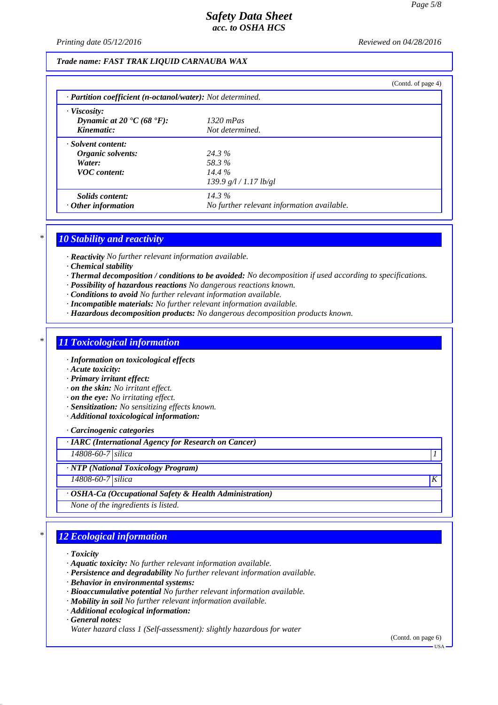*Printing date 05/12/2016 Reviewed on 04/28/2016*

### *Trade name: FAST TRAK LIQUID CARNAUBA WAX*

|                                                                                   |                                                        | (Contd. of page 4) |
|-----------------------------------------------------------------------------------|--------------------------------------------------------|--------------------|
| $\cdot$ <b>Partition coefficient (n-octanol/water):</b> Not determined.           |                                                        |                    |
| · Viscosity:<br>Dynamic at 20 $\textdegree$ C (68 $\textdegree$ F):<br>Kinematic: | $1320$ mPas<br>Not determined.                         |                    |
| · Solvent content:<br>Organic solvents:<br>Water:<br><b>VOC</b> content:          | 24.3%<br>58.3%<br>$14.4\%$<br>139.9 g/l / 1.17 lb/gl   |                    |
| Solids content:<br>$\cdot$ Other information                                      | $14.3\%$<br>No further relevant information available. |                    |

### *\* 10 Stability and reactivity*

*· Reactivity No further relevant information available.*

- *· Chemical stability*
- *· Thermal decomposition / conditions to be avoided: No decomposition if used according to specifications.*
- *· Possibility of hazardous reactions No dangerous reactions known.*
- *· Conditions to avoid No further relevant information available.*
- *· Incompatible materials: No further relevant information available.*
- *· Hazardous decomposition products: No dangerous decomposition products known.*

# *\* 11 Toxicological information*

*· Information on toxicological effects*

- *· Acute toxicity:*
- *· Primary irritant effect:*
- *· on the skin: No irritant effect.*
- *· on the eye: No irritating effect.*
- *· Sensitization: No sensitizing effects known.*
- *· Additional toxicological information:*

*· Carcinogenic categories*

*· IARC (International Agency for Research on Cancer)*

*14808-60-7 silica 1* 

*· NTP (National Toxicology Program)*

*14808-60-7 silica K* 

*· OSHA-Ca (Occupational Safety & Health Administration)*

*None of the ingredients is listed.*

## *\* 12 Ecological information*

*· Toxicity*

- *· Aquatic toxicity: No further relevant information available.*
- *· Persistence and degradability No further relevant information available.*
- *· Behavior in environmental systems:*
- *· Bioaccumulative potential No further relevant information available.*
- *· Mobility in soil No further relevant information available.*
- *· Additional ecological information:*

*· General notes:*

*Water hazard class 1 (Self-assessment): slightly hazardous for water*

(Contd. on page 6)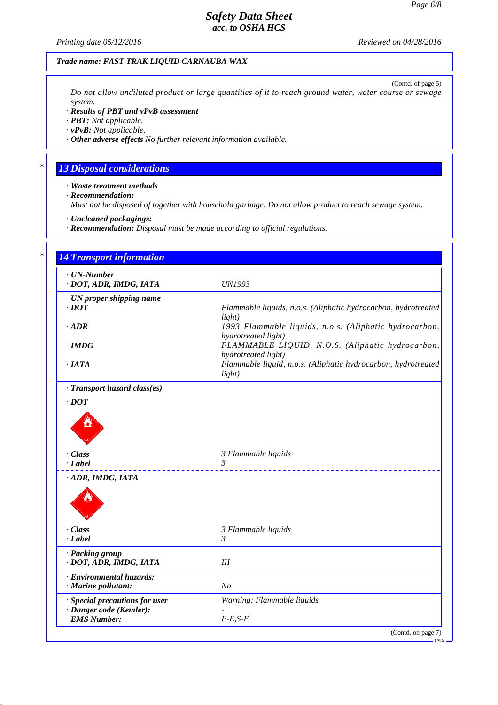*Printing date 05/12/2016 Reviewed on 04/28/2016*

### *Trade name: FAST TRAK LIQUID CARNAUBA WAX*

(Contd. of page 5) *Do not allow undiluted product or large quantities of it to reach ground water, water course or sewage system.*

*· Results of PBT and vPvB assessment*

*· PBT: Not applicable.*

*· vPvB: Not applicable.*

*· Other adverse effects No further relevant information available.*

# *\* 13 Disposal considerations*

*· Waste treatment methods*

*· Recommendation:*

*Must not be disposed of together with household garbage. Do not allow product to reach sewage system.*

*· Uncleaned packagings:*

*· Recommendation: Disposal must be made according to official regulations.*

| $\cdot$ UN-Number<br>· DOT, ADR, IMDG, IATA               | <b>UN1993</b>                                                                 |
|-----------------------------------------------------------|-------------------------------------------------------------------------------|
| · UN proper shipping name<br>$\cdot$ <i>DOT</i>           | Flammable liquids, n.o.s. (Aliphatic hydrocarbon, hydrotreated<br>light)      |
| $\cdot$ ADR                                               | 1993 Flammable liquids, n.o.s. (Aliphatic hydrocarbon,<br>hydrotreated light) |
| $\cdot$ IMDG                                              | FLAMMABLE LIQUID, N.O.S. (Aliphatic hydrocarbon,<br>hydrotreated light)       |
| ·IATA                                                     | Flammable liquid, n.o.s. (Aliphatic hydrocarbon, hydrotreated<br>light)       |
| · Transport hazard class(es)                              |                                                                               |
| $\cdot$ <i>DOT</i>                                        |                                                                               |
| · Class<br>$\cdot$ Label                                  | 3 Flammable liquids<br>3                                                      |
| · ADR, IMDG, IATA                                         |                                                                               |
| · Class                                                   | 3 Flammable liquids                                                           |
| $-Label$                                                  | 3                                                                             |
| · Packing group<br>· DOT, ADR, IMDG, IATA                 | III                                                                           |
| · Environmental hazards:<br>· Marine pollutant:           | N <sub>O</sub>                                                                |
| · Special precautions for user<br>· Danger code (Kemler): | Warning: Flammable liquids                                                    |
| · EMS Number:                                             | $F-E,S-E$                                                                     |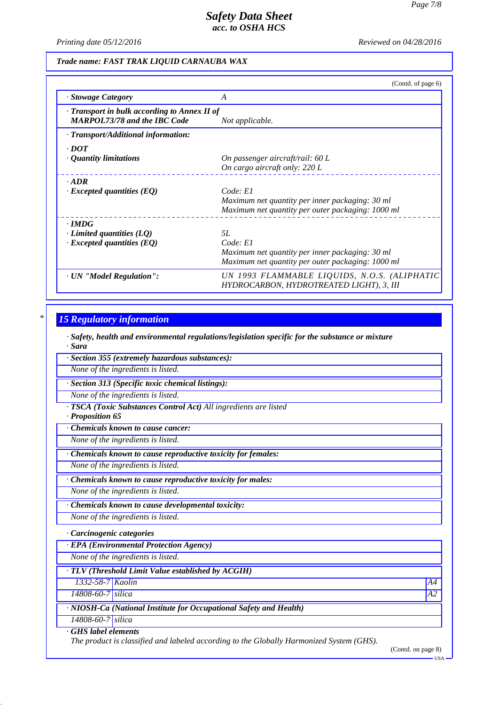*Printing date 05/12/2016 Reviewed on 04/28/2016*

### *Trade name: FAST TRAK LIQUID CARNAUBA WAX*

|                                                                                           | (Contd. of page 6)                                                                                                            |
|-------------------------------------------------------------------------------------------|-------------------------------------------------------------------------------------------------------------------------------|
| · Stowage Category                                                                        | A                                                                                                                             |
| $\cdot$ Transport in bulk according to Annex II of<br><b>MARPOL73/78 and the IBC Code</b> | Not applicable.                                                                                                               |
| · Transport/Additional information:                                                       |                                                                                                                               |
| $\cdot$ <i>DOT</i>                                                                        |                                                                                                                               |
| · Quantity limitations                                                                    | On passenger aircraft/rail: 60 L<br>On cargo aircraft only: 220 L                                                             |
| $-ADR$                                                                                    |                                                                                                                               |
| $\cdot$ Excepted quantities (EQ)                                                          | Code: El<br>Maximum net quantity per inner packaging: 30 ml<br>Maximum net quantity per outer packaging: 1000 ml              |
| $\cdot$ IMDG                                                                              |                                                                                                                               |
| $\cdot$ Limited quantities (LQ)<br>$\cdot$ Excepted quantities (EQ)                       | <i>5L</i><br>Code: El<br>Maximum net quantity per inner packaging: 30 ml<br>Maximum net quantity per outer packaging: 1000 ml |
| · UN "Model Regulation":                                                                  | UN 1993 FLAMMABLE LIQUIDS, N.O.S. (ALIPHATIC<br>HYDROCARBON, HYDROTREATED LIGHT), 3, III                                      |

## *\* 15 Regulatory information*

*· Safety, health and environmental regulations/legislation specific for the substance or mixture · Sara*

*· Section 355 (extremely hazardous substances):*

*None of the ingredients is listed.*

*· Section 313 (Specific toxic chemical listings):*

*None of the ingredients is listed.*

*· TSCA (Toxic Substances Control Act) All ingredients are listed*

*· Proposition 65*

*· Chemicals known to cause cancer:*

*None of the ingredients is listed.*

*· Chemicals known to cause reproductive toxicity for females:*

*None of the ingredients is listed.*

*· Chemicals known to cause reproductive toxicity for males:*

*None of the ingredients is listed.*

*· Chemicals known to cause developmental toxicity:*

*None of the ingredients is listed.*

*· Carcinogenic categories*

*· EPA (Environmental Protection Agency)*

*None of the ingredients is listed.*

*· TLV (Threshold Limit Value established by ACGIH)*

*1332-58-7 Kaolin A4*

*14808-60-7 silica A2*

*· NIOSH-Ca (National Institute for Occupational Safety and Health)*

*14808-60-7 silica · GHS label elements*

*The product is classified and labeled according to the Globally Harmonized System (GHS).*

(Contd. on page 8)

USA